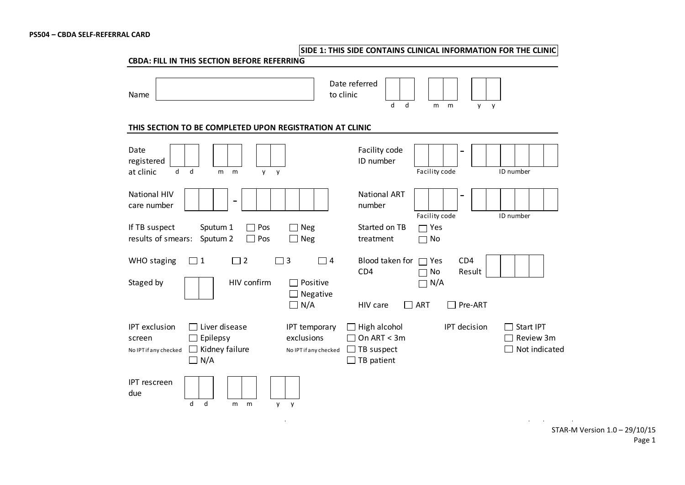**SIDE 1: THIS SIDE CONTAINS CLINICAL INFORMATION FOR THE CLINIC**

| Name                                                                                                                               | Date referred<br>to clinic<br>d<br>d<br>m<br>m<br>y<br>y                                                                                                                            |  |  |  |  |  |  |  |  |
|------------------------------------------------------------------------------------------------------------------------------------|-------------------------------------------------------------------------------------------------------------------------------------------------------------------------------------|--|--|--|--|--|--|--|--|
| THIS SECTION TO BE COMPLETED UPON REGISTRATION AT CLINIC                                                                           |                                                                                                                                                                                     |  |  |  |  |  |  |  |  |
| Date<br>registered<br>at clinic<br>$\mathsf{d}$<br>d<br>m<br>m<br>y<br>y                                                           | Facility code<br>ID number<br>Facility code<br>ID number                                                                                                                            |  |  |  |  |  |  |  |  |
| <b>National HIV</b><br>care number                                                                                                 | <b>National ART</b><br>number<br>Facility code<br>ID number                                                                                                                         |  |  |  |  |  |  |  |  |
| If TB suspect<br>Pos<br>Sputum 1<br>$\perp$<br>results of smears:<br>Pos<br>Sputum 2<br>$\Box$                                     | Started on TB<br>$\Box$ Neg<br>Yes<br>$\Box$ Neg<br>treatment<br>No                                                                                                                 |  |  |  |  |  |  |  |  |
| $\Box$ 2<br>$\overline{3}$<br><b>WHO</b> staging<br>$\Box$ 1<br>HIV confirm<br>Staged by                                           | Blood taken for<br>CD4<br>$\Box$ 4<br>Yes<br>CD4<br>No<br>Result<br>Positive<br>N/A                                                                                                 |  |  |  |  |  |  |  |  |
|                                                                                                                                    | Negative<br>$\Box$ N/A<br>ART<br>Pre-ART<br>HIV care                                                                                                                                |  |  |  |  |  |  |  |  |
| <b>IPT</b> exclusion<br>Liver disease<br>$\Box$ Epilepsy<br>screen<br>$\Box$ Kidney failure<br>No IPT if any checked<br>$\Box N/A$ | IPT decision<br>IPT temporary<br>High alcohol<br>Start IPT<br>exclusions<br>On $ART < 3m$<br>Review 3m<br>TB suspect<br>Not indicated<br>No IPT if any checked<br>$\Box$ TB patient |  |  |  |  |  |  |  |  |
| IPT rescreen<br>due<br>$\mathsf{d}$<br>d<br>m<br>m<br>$\mathsf{V}$<br>y                                                            |                                                                                                                                                                                     |  |  |  |  |  |  |  |  |

 $\mathcal{L}^{\mathcal{L}}$  and  $\mathcal{L}^{\mathcal{L}}$  and  $\mathcal{L}^{\mathcal{L}}$  and  $\mathcal{L}^{\mathcal{L}}$ 

STAR-M Version 1.0 – 29/10/15 Page 1

the control of the control